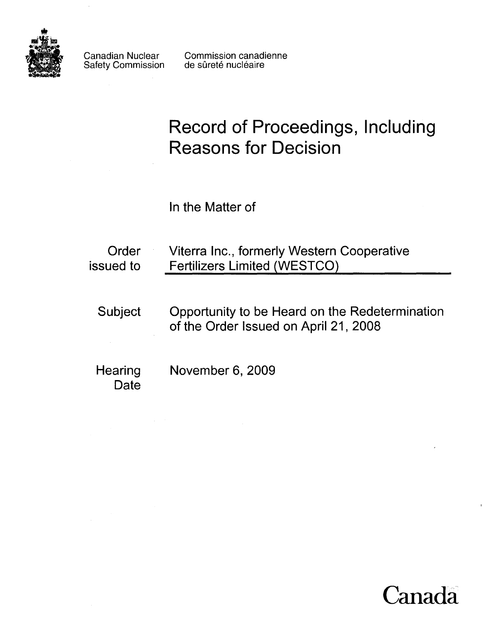

Safety Commission

Canadian Nuclear Commission canadienne<br>Safety Commission de sûreté nucléaire

# **Record of Proceedings, Including Reasons for Decision**

In the Matter of

| Order<br>issued to | Viterra Inc., formerly Western Cooperative<br><b>Fertilizers Limited (WESTCO)</b>       |  |
|--------------------|-----------------------------------------------------------------------------------------|--|
| <b>Subject</b>     | Opportunity to be Heard on the Redetermination<br>of the Order Issued on April 21, 2008 |  |
| Hearing<br>Date    | November 6, 2009                                                                        |  |

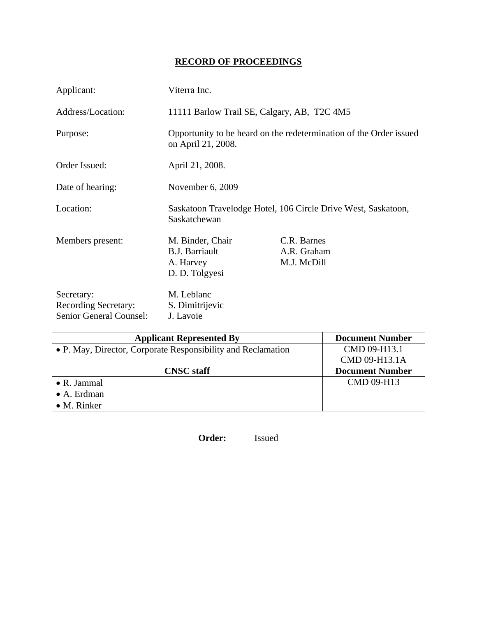# **RECORD OF PROCEEDINGS**

| Applicant:                                                           | Viterra Inc.                                                                  |                                                                    |
|----------------------------------------------------------------------|-------------------------------------------------------------------------------|--------------------------------------------------------------------|
| Address/Location:                                                    | 11111 Barlow Trail SE, Calgary, AB, T2C 4M5                                   |                                                                    |
| Purpose:                                                             | on April 21, 2008.                                                            | Opportunity to be heard on the redetermination of the Order issued |
| Order Issued:                                                        | April 21, 2008.                                                               |                                                                    |
| Date of hearing:                                                     | November 6, 2009                                                              |                                                                    |
| Location:                                                            | Saskatoon Travelodge Hotel, 106 Circle Drive West, Saskatoon,<br>Saskatchewan |                                                                    |
| Members present:                                                     | M. Binder, Chair<br><b>B.J. Barriault</b><br>A. Harvey<br>D. D. Tolgyesi      | C.R. Barnes<br>A.R. Graham<br>M.J. McDill                          |
| Secretary:<br><b>Recording Secretary:</b><br>Senior General Counsel: | M. Leblanc<br>S. Dimitrijevic<br>J. Lavoie                                    |                                                                    |

| <b>Applicant Represented By</b>                              | <b>Document Number</b> |
|--------------------------------------------------------------|------------------------|
| • P. May, Director, Corporate Responsibility and Reclamation | CMD 09-H13.1           |
|                                                              | CMD 09-H13.1A          |
| <b>CNSC</b> staff                                            | <b>Document Number</b> |
| $\bullet$ R. Jammal                                          | CMD 09-H13             |
| $\bullet$ A. Erdman                                          |                        |
| $\bullet$ M. Rinker                                          |                        |

**Order:** Issued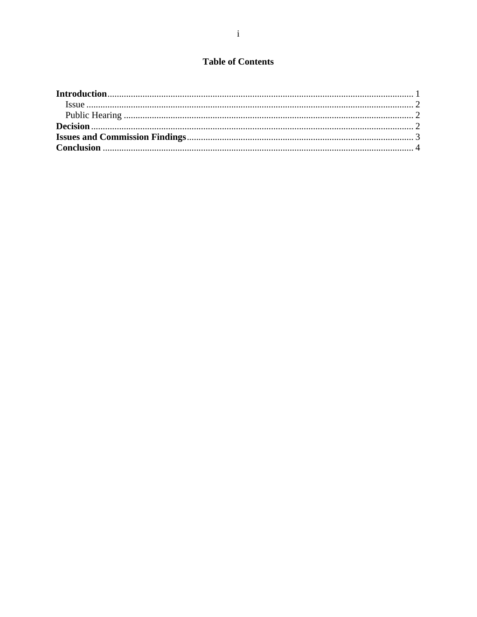## **Table of Contents**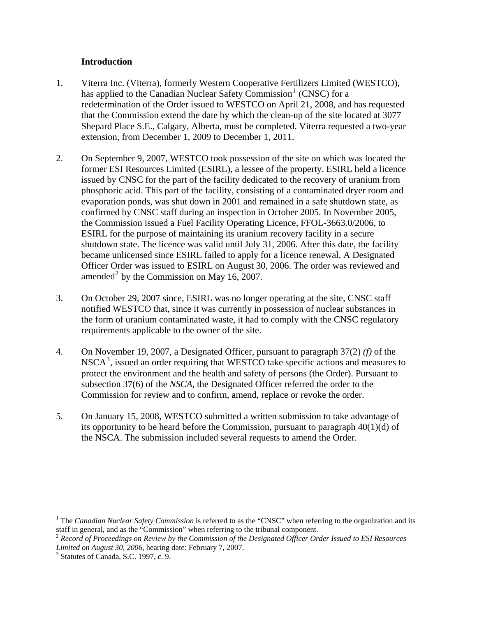#### **Introduction**

- <span id="page-3-0"></span>1. Viterra Inc. (Viterra), formerly Western Cooperative Fertilizers Limited (WESTCO), has applied to the Canadian Nuclear Safety Commission<sup>[1](#page-3-1)</sup> (CNSC) for a redetermination of the Order issued to WESTCO on April 21, 2008, and has requested that the Commission extend the date by which the clean-up of the site located at 3077 Shepard Place S.E., Calgary, Alberta, must be completed. Viterra requested a two-year extension, from December 1, 2009 to December 1, 2011.
- 2. On September 9, 2007, WESTCO took possession of the site on which was located the former ESI Resources Limited (ESIRL), a lessee of the property. ESIRL held a licence issued by CNSC for the part of the facility dedicated to the recovery of uranium from phosphoric acid. This part of the facility, consisting of a contaminated dryer room and evaporation ponds, was shut down in 2001 and remained in a safe shutdown state, as confirmed by CNSC staff during an inspection in October 2005. In November 2005, the Commission issued a Fuel Facility Operating Licence, FFOL-3663.0/2006, to ESIRL for the purpose of maintaining its uranium recovery facility in a secure shutdown state. The licence was valid until July 31, 2006. After this date, the facility became unlicensed since ESIRL failed to apply for a licence renewal. A Designated Officer Order was issued to ESIRL on August 30, 2006. The order was reviewed and amended<sup>[2](#page-3-2)</sup> by the Commission on May 16, 2007.
- 3. On October 29, 2007 since, ESIRL was no longer operating at the site, CNSC staff notified WESTCO that, since it was currently in possession of nuclear substances in the form of uranium contaminated waste, it had to comply with the CNSC regulatory requirements applicable to the owner of the site.
- 4. On November 19, 2007, a Designated Officer, pursuant to paragraph 37(2) *(f)* of the NSCA<sup>[3](#page-3-3)</sup>, issued an order requiring that WESTCO take specific actions and measures to protect the environment and the health and safety of persons (the Order). Pursuant to subsection 37(6) of the *NSCA*, the Designated Officer referred the order to the Commission for review and to confirm, amend, replace or revoke the order.
- 5. On January 15, 2008, WESTCO submitted a written submission to take advantage of its opportunity to be heard before the Commission, pursuant to paragraph 40(1)(d) of the NSCA. The submission included several requests to amend the Order.

 $\overline{a}$ 

<span id="page-3-1"></span><sup>&</sup>lt;sup>1</sup> The *Canadian Nuclear Safety Commission* is referred to as the "CNSC" when referring to the organization and its staff in general, and as the "Commission" when referring to the tribunal component.

<span id="page-3-2"></span><sup>2</sup> *Record of Proceedings on Review by the Commission of the Designated Officer Order Issued to ESI Resources*  Limited on August 30, 2006, hearing date: February 7, 2007.

<span id="page-3-3"></span> $3$  Statutes of Canada, S.C. 1997, c. 9.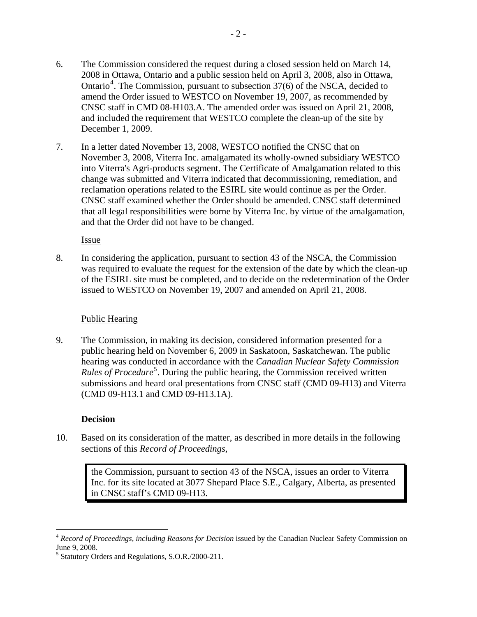- <span id="page-4-0"></span>6. The Commission considered the request during a closed session held on March 14, 2008 in Ottawa, Ontario and a public session held on April 3, 2008, also in Ottawa, Ontario<sup>[4](#page-4-1)</sup>. The Commission, pursuant to subsection  $37(6)$  of the NSCA, decided to amend the Order issued to WESTCO on November 19, 2007, as recommended by CNSC staff in CMD 08-H103.A. The amended order was issued on April 21, 2008, and included the requirement that WESTCO complete the clean-up of the site by December 1, 2009.
- 7. In a letter dated November 13, 2008, WESTCO notified the CNSC that on November 3, 2008, Viterra Inc. amalgamated its wholly-owned subsidiary WESTCO into Viterra's Agri-products segment. The Certificate of Amalgamation related to this change was submitted and Viterra indicated that decommissioning, remediation, and reclamation operations related to the ESIRL site would continue as per the Order. CNSC staff examined whether the Order should be amended. CNSC staff determined that all legal responsibilities were borne by Viterra Inc. by virtue of the amalgamation, and that the Order did not have to be changed.

Issue

8. In considering the application, pursuant to section 43 of the NSCA, the Commission was required to evaluate the request for the extension of the date by which the clean-up of the ESIRL site must be completed, and to decide on the redetermination of the Order issued to WESTCO on November 19, 2007 and amended on April 21, 2008.

## Public Hearing

9. The Commission, in making its decision, considered information presented for a public hearing held on November 6, 2009 in Saskatoon, Saskatchewan. The public hearing was conducted in accordance with the *Canadian Nuclear Safety Commission*  Rules of Procedure<sup>[5](#page-4-2)</sup>. During the public hearing, the Commission received written submissions and heard oral presentations from CNSC staff (CMD 09-H13) and Viterra (CMD 09-H13.1 and CMD 09-H13.1A).

## **Decision**

 $\overline{a}$ 

10. Based on its consideration of the matter, as described in more details in the following sections of this *Record of Proceedings*,

the Commission, pursuant to section 43 of the NSCA, issues an order to Viterra Inc. for its site located at 3077 Shepard Place S.E., Calgary, Alberta, as presented in CNSC staff's CMD 09-H13.

<span id="page-4-1"></span><sup>4</sup> *Record of Proceedings, including Reasons for Decision* issued by the Canadian Nuclear Safety Commission on June 9, 2008.

<span id="page-4-2"></span><sup>&</sup>lt;sup>5</sup> Statutory Orders and Regulations, S.O.R./2000-211.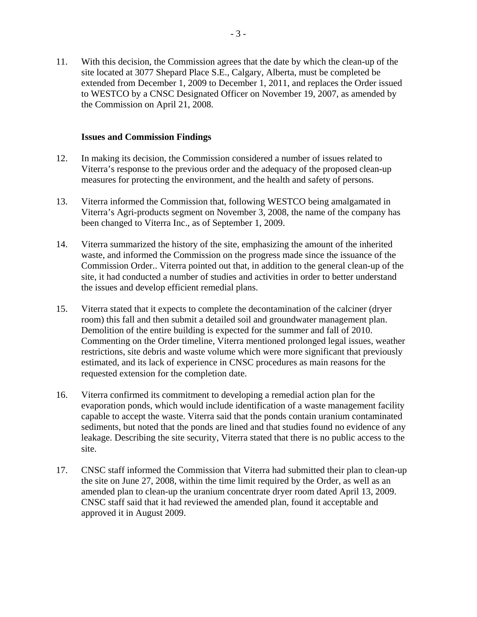<span id="page-5-0"></span>11. With this decision, the Commission agrees that the date by which the clean-up of the site located at 3077 Shepard Place S.E., Calgary, Alberta, must be completed be extended from December 1, 2009 to December 1, 2011, and replaces the Order issued to WESTCO by a CNSC Designated Officer on November 19, 2007, as amended by the Commission on April 21, 2008.

#### **Issues and Commission Findings**

- 12. In making its decision, the Commission considered a number of issues related to Viterra's response to the previous order and the adequacy of the proposed clean-up measures for protecting the environment, and the health and safety of persons.
- 13. Viterra informed the Commission that, following WESTCO being amalgamated in Viterra's Agri-products segment on November 3, 2008, the name of the company has been changed to Viterra Inc., as of September 1, 2009.
- 14. Viterra summarized the history of the site, emphasizing the amount of the inherited waste, and informed the Commission on the progress made since the issuance of the Commission Order.. Viterra pointed out that, in addition to the general clean-up of the site, it had conducted a number of studies and activities in order to better understand the issues and develop efficient remedial plans.
- 15. Viterra stated that it expects to complete the decontamination of the calciner (dryer room) this fall and then submit a detailed soil and groundwater management plan. Demolition of the entire building is expected for the summer and fall of 2010. Commenting on the Order timeline, Viterra mentioned prolonged legal issues, weather restrictions, site debris and waste volume which were more significant that previously estimated, and its lack of experience in CNSC procedures as main reasons for the requested extension for the completion date.
- 16. Viterra confirmed its commitment to developing a remedial action plan for the evaporation ponds, which would include identification of a waste management facility capable to accept the waste. Viterra said that the ponds contain uranium contaminated sediments, but noted that the ponds are lined and that studies found no evidence of any leakage. Describing the site security, Viterra stated that there is no public access to the site.
- 17. CNSC staff informed the Commission that Viterra had submitted their plan to clean-up the site on June 27, 2008, within the time limit required by the Order, as well as an amended plan to clean-up the uranium concentrate dryer room dated April 13, 2009. CNSC staff said that it had reviewed the amended plan, found it acceptable and approved it in August 2009.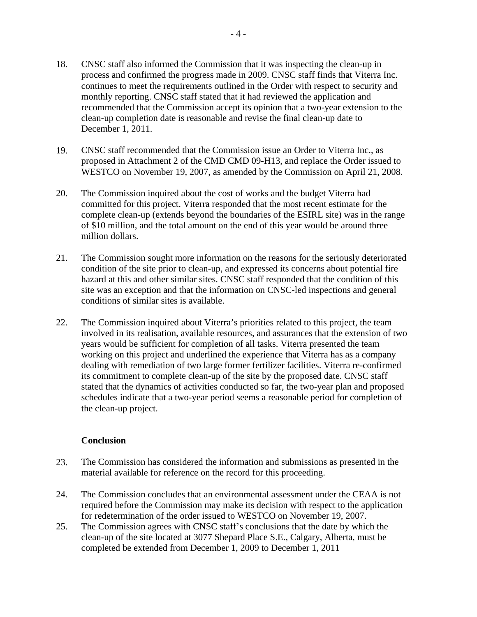- <span id="page-6-0"></span>18. CNSC staff also informed the Commission that it was inspecting the clean-up in process and confirmed the progress made in 2009. CNSC staff finds that Viterra Inc. continues to meet the requirements outlined in the Order with respect to security and monthly reporting. CNSC staff stated that it had reviewed the application and recommended that the Commission accept its opinion that a two-year extension to the clean-up completion date is reasonable and revise the final clean-up date to December 1, 2011.
- 19. CNSC staff recommended that the Commission issue an Order to Viterra Inc., as proposed in Attachment 2 of the CMD CMD 09-H13, and replace the Order issued to WESTCO on November 19, 2007, as amended by the Commission on April 21, 2008.
- 20. The Commission inquired about the cost of works and the budget Viterra had committed for this project. Viterra responded that the most recent estimate for the complete clean-up (extends beyond the boundaries of the ESIRL site) was in the range of \$10 million, and the total amount on the end of this year would be around three million dollars.
- 21. The Commission sought more information on the reasons for the seriously deteriorated condition of the site prior to clean-up, and expressed its concerns about potential fire hazard at this and other similar sites. CNSC staff responded that the condition of this site was an exception and that the information on CNSC-led inspections and general conditions of similar sites is available.
- 22. The Commission inquired about Viterra's priorities related to this project, the team involved in its realisation, available resources, and assurances that the extension of two years would be sufficient for completion of all tasks. Viterra presented the team working on this project and underlined the experience that Viterra has as a company dealing with remediation of two large former fertilizer facilities. Viterra re-confirmed its commitment to complete clean-up of the site by the proposed date. CNSC staff stated that the dynamics of activities conducted so far, the two-year plan and proposed schedules indicate that a two-year period seems a reasonable period for completion of the clean-up project.

#### **Conclusion**

- 23. The Commission has considered the information and submissions as presented in the material available for reference on the record for this proceeding.
- 24. The Commission concludes that an environmental assessment under the CEAA is not required before the Commission may make its decision with respect to the application for redetermination of the order issued to WESTCO on November 19, 2007.
- 25. The Commission agrees with CNSC staff's conclusions that the date by which the clean-up of the site located at 3077 Shepard Place S.E., Calgary, Alberta, must be completed be extended from December 1, 2009 to December 1, 2011